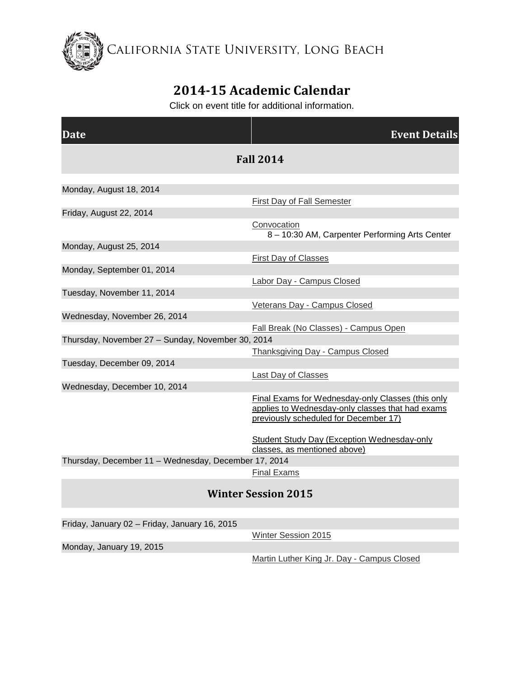California State University, Long Beach

## **2014-15 Academic Calendar**

Click on event title for additional information.

| <b>Date</b>                                          | <b>Event Details</b>                                                                                                                           |
|------------------------------------------------------|------------------------------------------------------------------------------------------------------------------------------------------------|
| <b>Fall 2014</b>                                     |                                                                                                                                                |
| Monday, August 18, 2014                              |                                                                                                                                                |
|                                                      | <b>First Day of Fall Semester</b>                                                                                                              |
| Friday, August 22, 2014                              |                                                                                                                                                |
|                                                      | Convocation<br>8 - 10:30 AM, Carpenter Performing Arts Center                                                                                  |
| Monday, August 25, 2014                              |                                                                                                                                                |
|                                                      | First Day of Classes                                                                                                                           |
| Monday, September 01, 2014                           |                                                                                                                                                |
|                                                      | Labor Day - Campus Closed                                                                                                                      |
| Tuesday, November 11, 2014                           |                                                                                                                                                |
|                                                      | Veterans Day - Campus Closed                                                                                                                   |
| Wednesday, November 26, 2014                         |                                                                                                                                                |
|                                                      | Fall Break (No Classes) - Campus Open                                                                                                          |
| Thursday, November 27 - Sunday, November 30, 2014    |                                                                                                                                                |
|                                                      | Thanksgiving Day - Campus Closed                                                                                                               |
| Tuesday, December 09, 2014                           |                                                                                                                                                |
|                                                      | <b>Last Day of Classes</b>                                                                                                                     |
| Wednesday, December 10, 2014                         |                                                                                                                                                |
|                                                      | Final Exams for Wednesday-only Classes (this only<br>applies to Wednesday-only classes that had exams<br>previously scheduled for December 17) |
|                                                      | <b>Student Study Day (Exception Wednesday-only</b><br>classes, as mentioned above)                                                             |
| Thursday, December 11 - Wednesday, December 17, 2014 |                                                                                                                                                |
|                                                      | <b>Final Exams</b>                                                                                                                             |
| <b>Winter Session 2015</b>                           |                                                                                                                                                |
| $\blacksquare$ . The second of $\blacksquare$        |                                                                                                                                                |

Friday, January 02 – Friday, January 16, 2015

[Winter Session 2015](http://calendar.aa.csulb.edu/EventList.aspx?fromdate=8/18/2014&todate=8/24/2015&display=Month&type=public&eventidn=945&view=EventDetails&information_id=2018)

Monday, January 19, 2015

[Martin Luther King Jr. Day -](http://calendar.aa.csulb.edu/EventList.aspx?fromdate=8/18/2014&todate=8/24/2015&display=Month&type=public&eventidn=947&view=EventDetails&information_id=2022) Campus Closed